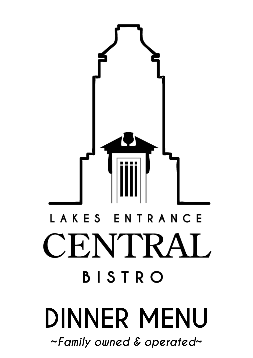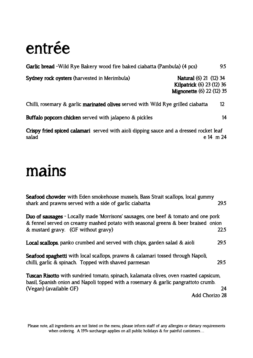## **entrée**

| Garlic bread - Wild Rye Bakery wood fire baked ciabatta (Pambula) (4 pcs) |                                                                                                |
|---------------------------------------------------------------------------|------------------------------------------------------------------------------------------------|
| Sydney rock oysters (harvested in Merimbula)                              | <b>Natural (6) 21 (12) 34</b><br>Kilpatrick (6) 23 (12) 36<br><b>Mignonette (6) 22 (12) 35</b> |
|                                                                           |                                                                                                |

**Chilli, rosemary & garlic marinated olives served with Wild Rye grilled ciabatta 12**

**Buffalo popcorn chicken served with jalapeno & pickles 14** 

**Crispy fried spiced calamari served with aioli dipping sauce and a dressed rocket leaf salad e 14 m 24**

## **mains**

| <b>Seafood chowder</b> with Eden smokehouse mussels, Bass Strait scallops, local gummy<br>shark and prawns served with a side of garlic ciabatta                                                                       | 29.5 |
|------------------------------------------------------------------------------------------------------------------------------------------------------------------------------------------------------------------------|------|
| <b>Duo of sausages</b> - Locally made 'Morrisons' sausages, one beef & tomato and one pork<br>& fennel served on creamy mashed potato with seasonal greens & beer braised onion<br>& mustard gravy. (GF without gravy) | 22.5 |
| Local scallops, panko crumbed and served with chips, garden salad & aioli                                                                                                                                              | 29.5 |
| <b>Seafood spaghetti</b> with local scallops, prawns & calamari tossed through Napoli,<br>chilli, garlic & spinach. Topped with shaved parmesan                                                                        | 29.5 |
| <b>Tuscan Risotto</b> with sundried tomato, spinach, kalamata olives, oven roasted capsicum,<br>basil, Spanish onion and Napoli topped with a rosemary & garlic pangrattoto crumb.                                     | 24   |
| (Vegan) (available GF)                                                                                                                                                                                                 |      |
| Add Chorizo 28                                                                                                                                                                                                         |      |

**Please note, all ingredients are not listed on the menu, please inform staff of any allergies or dietary requirements when ordering. A 15% surcharge applies on all public holidays & for painful customers**…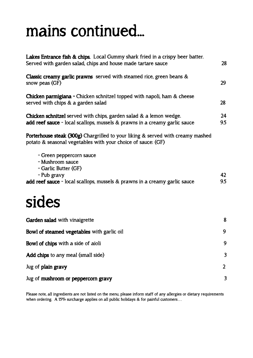# **mains continued...**

| Lakes Entrance fish & chips. Local Gummy shark fried in a crispy beer batter.<br>Served with garden salad, chips and house made tartare sauce                     |           |
|-------------------------------------------------------------------------------------------------------------------------------------------------------------------|-----------|
| <b>Classic creamy garlic prawns</b> served with steamed rice, green beans $\&$<br>snow peas (GF)                                                                  | 29        |
| <b>Chicken parmigiana - Chicken schnitzel topped with napoli, ham &amp; cheese</b><br>served with chips & a garden salad                                          | 28        |
| Chicken schnitzel served with chips, garden salad & a lemon wedge.<br>add reef sauce - local scallops, mussels & prawns in a creamy garlic sauce                  | 24<br>9.5 |
| <b>Porterhouse steak (300g)</b> Chargrilled to your liking & served with creamy mashed<br>potato & seasonal vegetables with your choice of sauce: (GF)            |           |
| - Green peppercorn sauce<br>- Mushroom sauce<br>- Garlic Butter (GF)<br>- Pub gravy<br>add reef sauce - local scallops, mussels & prawns in a creamy garlic sauce | 42<br>9.5 |
| sides                                                                                                                                                             |           |
| Garden salad with vinaigrette                                                                                                                                     | 8         |
| Bowl of steamed vegetables with garlic oil                                                                                                                        | 9         |
| <b>Bowl of chips</b> with a side of aioli                                                                                                                         | 9         |
| Add chips to any meal (small side)                                                                                                                                | 3         |
| Jug of plain gravy                                                                                                                                                | 2         |
| Jug of mushroom or peppercorn gravy                                                                                                                               | 3         |

**Please note, all ingredients are not listed on the menu, please inform staff of any allergies or dietary requirements when ordering. A 15% surcharge applies on all public holidays & for painful customers**…